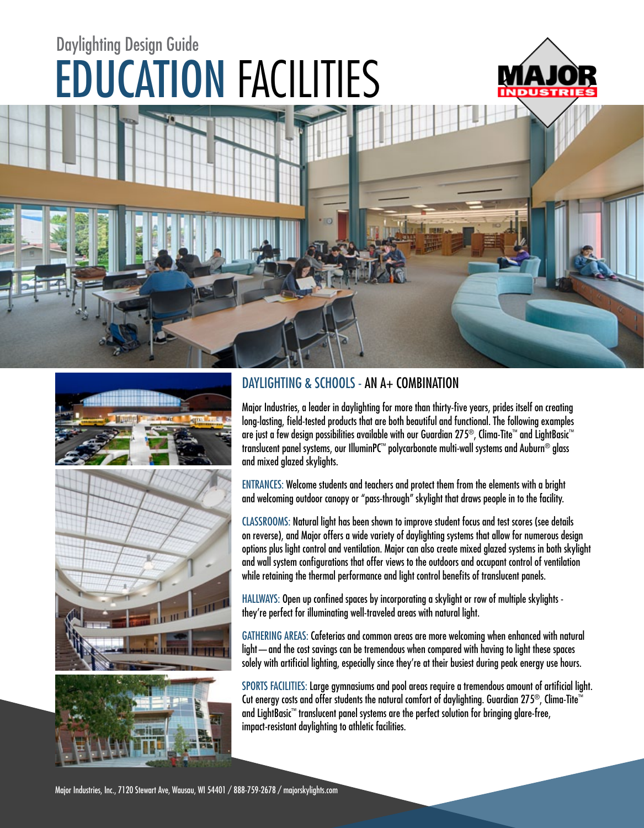# EDUCATION FACILITIES Daylighting Design Guide





### DAYLIGHTING & SCHOOLS - AN A+ COMBINATION

Major Industries, a leader in daylighting for more than thirty-five years, prides itself on creating long-lasting, field-tested products that are both beautiful and functional. The following examples are just a few design possibilities available with our Guardian 275®, Clima-Tite™ and LightBasic™ translucent panel systems, our IlluminPC™ polycarbonate multi-wall systems and Auburn® glass and mixed glazed skylights.

ENTRANCES: Welcome students and teachers and protect them from the elements with a bright and welcoming outdoor canopy or "pass-through" skylight that draws people in to the facility.

CLASSROOMS: Natural light has been shown to improve student focus and test scores (see details on reverse), and Major offers a wide variety of daylighting systems that allow for numerous design options plus light control and ventilation. Major can also create mixed glazed systems in both skylight and wall system configurations that offer views to the outdoors and occupant control of ventilation while retaining the thermal performance and light control benefits of translucent panels.

HALLWAYS: Open up confined spaces by incorporating a skylight or row of multiple skylights they're perfect for illuminating well-traveled areas with natural light.

GATHERING AREAS: Cafeterias and common areas are more welcoming when enhanced with natural light—and the cost savings can be tremendous when compared with having to light these spaces solely with artificial lighting, especially since they're at their busiest during peak energy use hours.

SPORTS FACILITIES: Large gymnasiums and pool areas require a tremendous amount of artificial light. Cut energy costs and offer students the natural comfort of daylighting. Guardian 275®, Clima-Tite™ and LightBasic™ translucent panel systems are the perfect solution for bringing glare-free, impact-resistant daylighting to athletic facilities.